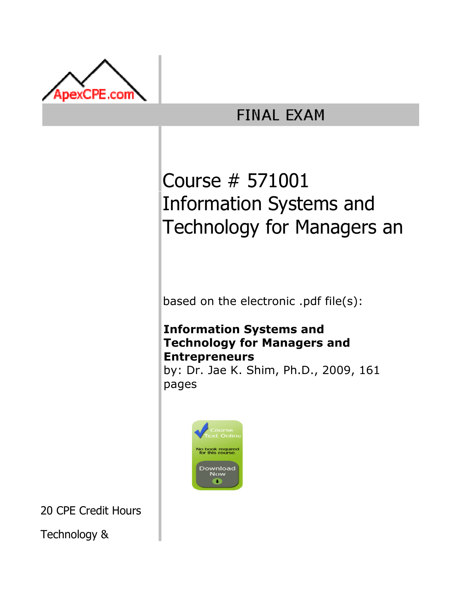

## **FINAL EXAM**

# Course # 571001 Information Systems and Technology for Managers an

based on the electronic .pdf file(s):

## Information Systems and Technology for Managers and Entrepreneurs

by: Dr. Jae K. Shim, Ph.D., 2009, 161 pages



20 CPE Credit Hours

Technology &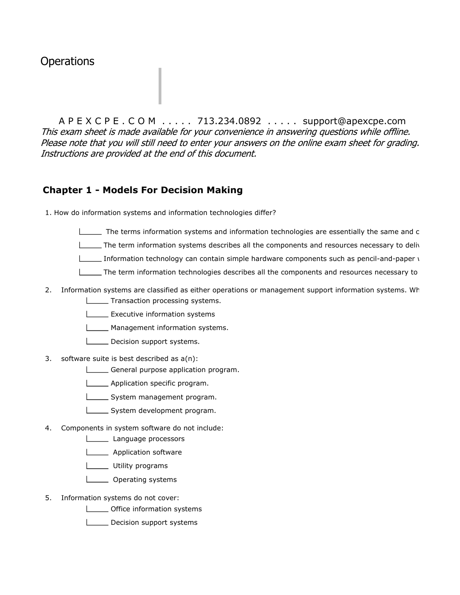### **Operations**

A P E X C P E . C O M . . . . . 713.234.0892 . . . . . support@apexcpe.com This exam sheet is made available for your convenience in answering questions while offline. Please note that you will still need to enter your answers on the online exam sheet for grading. Instructions are provided at the end of this document.

#### Chapter 1 - Models For Decision Making

1. How do information systems and information technologies differ?

- $\Box$  The terms information systems and information technologies are essentially the same and c
- $\Box$  The term information systems describes all the components and resources necessary to deliv
- Information technology can contain simple hardware components such as pencil-and-paper  $\sqrt{ }$
- The term information technologies describes all the components and resources necessary to
- 2. Information systems are classified as either operations or management support information systems. Wh **LETTREE SETTEM** From processing systems.
	- **L** Executive information systems
	- **LETT** Management information systems.
	- Decision support systems.
- 3. software suite is best described as a(n):
	- General purpose application program.
	- **LETT** Application specific program.
	- System management program.
	- System development program.
- 4. Components in system software do not include:
	- Language processors
	- **Lackson** Application software
	- L\_\_\_\_\_ Utility programs
	- **LETT** Operating systems
- 5. Information systems do not cover:
	- **LECT** Office information systems
	- Decision support systems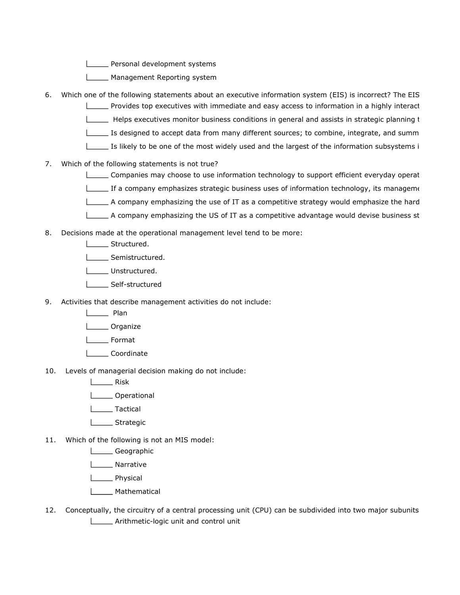**LETT** Personal development systems

- **LETTE** Management Reporting system
- 6. Which one of the following statements about an executive information system (EIS) is incorrect? The EIS **Provides top executives with immediate and easy access to information in a highly interact** 
	- Helps executives monitor business conditions in general and assists in strategic planning to control and  $\Box$
	- Is designed to accept data from many different sources; to combine, integrate, and summ
	- Is likely to be one of the most widely used and the largest of the information subsystems in
- 7. Which of the following statements is not true?
	- Companies may choose to use information technology to support efficient everyday operat
	- $\equiv$  If a company emphasizes strategic business uses of information technology, its manageme
	- A company emphasizing the use of IT as a competitive strategy would emphasize the hard
	- $\Box$  A company emphasizing the US of IT as a competitive advantage would devise business st
- 8. Decisions made at the operational management level tend to be more:
	- **LECTL** Structured.
	- Semistructured.
	- L**L**Unstructured.
	- L\_\_\_\_\_ Self-structured
- 9. Activities that describe management activities do not include:
	- **Lack** Plan
	- L\_\_\_\_\_ Organize
	- L<sub>\_\_\_\_\_</sub>Format
	- Coordinate
- 10. Levels of managerial decision making do not include:
	- Lack Risk
	- **Louise** Operational
	- **Lactical**
	- **Lower** Strategic
- 11. Which of the following is not an MIS model:
	- **Lackson** Geographic
	- **Narrative**
	- **Lackson** Physical
	- L**L**Mathematical
- 12. Conceptually, the circuitry of a central processing unit (CPU) can be subdivided into two major subunits **LETT** Arithmetic-logic unit and control unit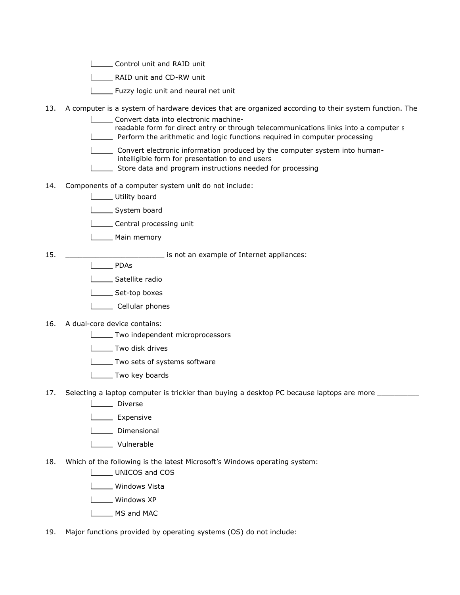- **Letter** Control unit and RAID unit
- **Letter 2** RAID unit and CD-RW unit
- Fuzzy logic unit and neural net unit
- 13. A computer is a system of hardware devices that are organized according to their system function. The
	- Convert data into electronic machine-
	- readable form for direct entry or through telecommunications links into a computer s
	- **Perform the arithmetic and logic functions required in computer processing**

 Convert electronic information produced by the computer system into human intelligible form for presentation to end users

- Store data and program instructions needed for processing L
- 14. Components of a computer system unit do not include:
	- Utility board
	- System board
	- **LETT** Central processing unit
	- **Lackson** Main memory
- 15. \_\_\_\_\_\_\_\_\_\_\_\_\_\_\_\_\_\_\_\_\_\_\_ is not an example of Internet appliances:
	- L<sub>D</sub>PDAs
	- Satellite radio
	- Set-top boxes
	- L\_\_\_\_\_ Cellular phones
- 16. A dual-core device contains:
	- **LECT** Two independent microprocessors
	- **Letter** Two disk drives
	- **LETTE TWO sets of systems software**
	- **LECTURE TWO key boards**
- 17. Selecting a laptop computer is trickier than buying a desktop PC because laptops are more
	- **Liverse**
	- **Looper Expensive**
	- **Limensional**
	- L**oopen** Vulnerable
- 18. Which of the following is the latest Microsoft's Windows operating system:
	- **LEART UNICOS and COS**
	- Windows Vista
	- L\_\_\_\_ Windows XP
	- L<sub>\_</sub>MS and MAC
- 19. Major functions provided by operating systems (OS) do not include: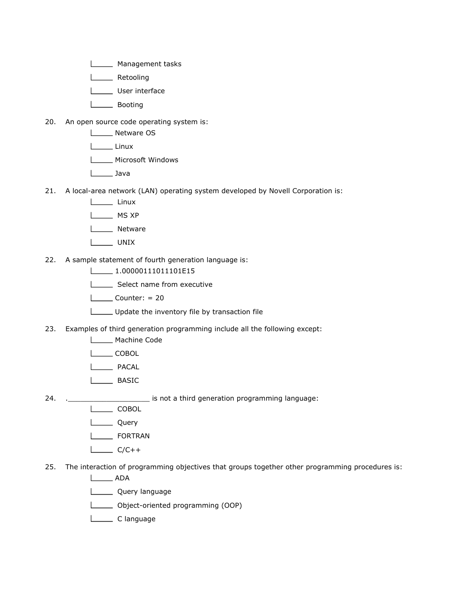- **LETTE** Management tasks
- L**L** Retooling
- User interface
- L<sub>DD</sub> Booting
- 20. An open source code operating system is:
	- L**L** Netware OS
	- Linux
	- **LECTE** Microsoft Windows
	- Java
- 21. A local-area network (LAN) operating system developed by Novell Corporation is:
	- Linux
	- L<sub>M</sub>MS XP
	- L<sub>Netware</sub>
	- L**L** UNIX
- 22. A sample statement of fourth generation language is:
	- $\Box$ 1.00000111011101E15
	- Select name from executive
	- $\Box$ Counter: = 20
	- Update the inventory file by transaction file
- 23. Examples of third generation programming include all the following except:
	- Machine Code
	- L**COBOL**
	- PACAL
	- **LASIC**
- 24. . <u>\_\_\_\_\_\_\_\_\_\_\_\_\_\_</u> is not a third generation programming language:
	- $\Box$  COBOL
	- **Lucky** Query
	- L**EXECUTE FORTRAN**
	- $\Box$  C/C++
- 25. The interaction of programming objectives that groups together other programming procedures is:
	- ADA
	- L**L** Query language
	- Object-oriented programming (OOP)
	- L<sub>C</sub> language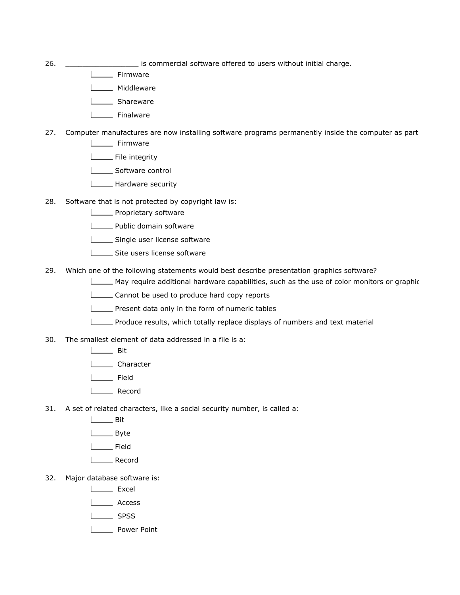- 26. \_\_\_\_\_\_\_\_\_\_\_\_\_\_\_\_\_ is commercial software offered to users without initial charge.
	- **Looper** Firmware
	- **Middleware**
	- **Lackson** Shareware
	- **Looper** Finalware
- 27. Computer manufactures are now installing software programs permanently inside the computer as part
	- **Lowell** Firmware
	- File integrity
	- Software control
	- **Hardware security**
- 28. Software that is not protected by copyright law is:
	- **LETTE** Proprietary software
	- **LETTE** Public domain software
	- Single user license software
	- | Site users license software
- 29. Which one of the following statements would best describe presentation graphics software?
	- $\Box$ May require additional hardware capabilities, such as the use of color monitors or graphic
	- Cannot be used to produce hard copy reports
	- **Present data only in the form of numeric tables**
	- Produce results, which totally replace displays of numbers and text material
- 30. The smallest element of data addressed in a file is a:
	- **Lack Bit**
	- Lose Character
	- L<sub>EM</sub> Field
	- L**L** Record
- 31. A set of related characters, like a social security number, is called a:
	- $\Box$ Bit
	- L<sub>Byte</sub>
	- L<sub>L</sub> Field
	- | Record
- 32. Major database software is:
	- L<sub>Excel</sub>
	- Laccess
	- **Lack SPSS**
	- **Lasting Power Point**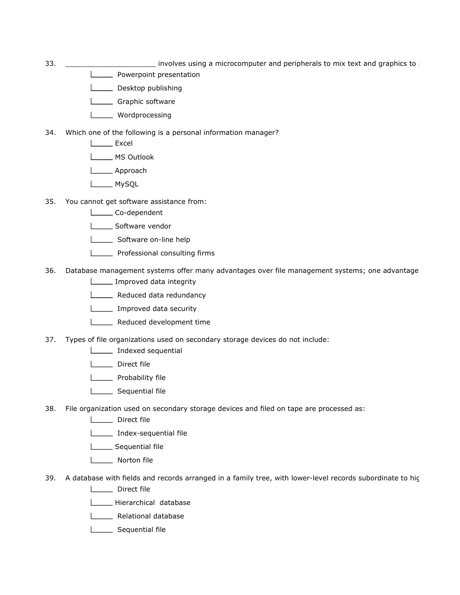- 33. **Example 10** involves using a microcomputer and peripherals to mix text and graphics to produce high quality princounts.
	- **LETTE** Powerpoint presentation
	- Desktop publishing
	- **L\_\_\_\_\_** Graphic software
	- L**L** Wordprocessing
- 34. Which one of the following is a personal information manager?
	- L<sub>Excel</sub>
	- L<sub>MS</sub> Outlook
	- **Looper** Approach
	- **MySQL**
- 35. You cannot get software assistance from:
	- Co-dependent
	- Software vendor
	- Software on-line help
	- **LETT** Professional consulting firms
- 36. Database management systems offer many advantages over file management systems; one advantage **Improved data integrity** 
	- **LETTE** Reduced data redundancy
	- **Improved data security**
	- **LETTE** Reduced development time
- 37. Types of file organizations used on secondary storage devices do not include:
	- **Indexed sequential**
	- Direct file
	- **Probability file**
	- Sequential file
- 38. File organization used on secondary storage devices and filed on tape are processed as:
	- Direct file
	- Index-sequential file
	- **L** Sequential file
	- Norton file
- 39. A database with fields and records arranged in a family tree, with lower-level records subordinate to high
	- Direct file
	- Hierarchical database
	- **L\_\_\_\_** Relational database
	- Sequential file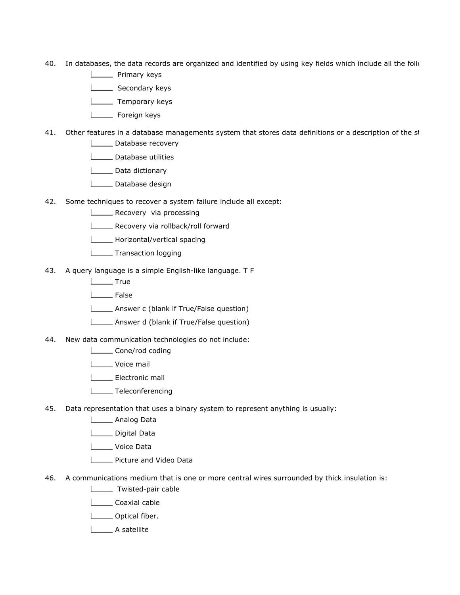- 40. In databases, the data records are organized and identified by using key fields which include all the folk
	- **Listing** Primary keys
	- Secondary keys
	- L**L** Temporary keys
	- Loreign keys
- 41. Other features in a database managements system that stores data definitions or a description of the st **Database recovery** 
	- L\_\_\_\_\_ Database utilities
	- Data dictionary
	- Database design
- 42. Some techniques to recover a system failure include all except:
	- **LECOVERY** via processing
	- Recovery via rollback/roll forward
	- Horizontal/vertical spacing
	- **Transaction logging**
- 43. A query language is a simple English-like language. T F
	- L**L** True
	- L<sub>b</sub> False
	- Answer c (blank if True/False question)
	- Answer d (blank if True/False question)
- 44. New data communication technologies do not include:
	- Lone/rod coding
	- Voice mail
	- Electronic mail
	- **Teleconferencing**
- 45. Data representation that uses a binary system to represent anything is usually:
	- **Loopey** Analog Data
	- Digital Data
	- Loice Data
	- Picture and Video Data
- 46. A communications medium that is one or more central wires surrounded by thick insulation is:
	- **Twisted-pair cable**
	- **Locaxial cable**
	- **L**\_\_\_\_\_\_ Optical fiber.
	- L<sub>A</sub> satellite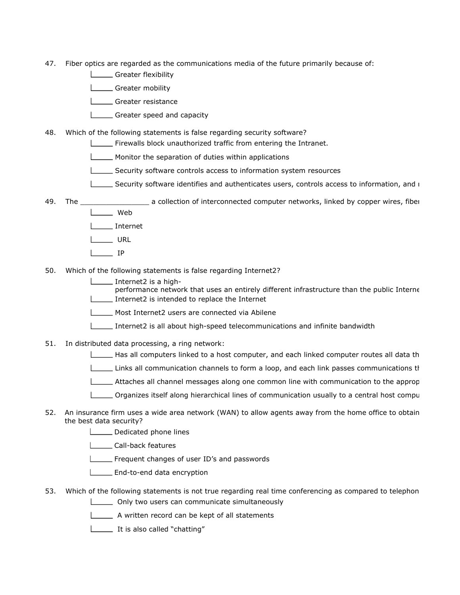- 47. Fiber optics are regarded as the communications media of the future primarily because of:
	- Greater flexibility
	- Greater mobility
	- **Creater resistance**
	- Greater speed and capacity
- 48. Which of the following statements is false regarding security software?
	- Firewalls block unauthorized traffic from entering the Intranet.
	- **Monitor the separation of duties within applications**
	- Security software controls access to information system resources
	- Security software identifies and authenticates users, controls access to information, and r
- 49. The \_\_\_\_\_\_\_\_\_\_\_\_\_\_\_\_ a collection of interconnected computer networks, linked by copper wires, fiber l Web
	- Internet
	- L**URL**
	- $\Box$  IP
- 50. Which of the following statements is false regarding Internet2?
	- Internet2 is a high-

performance network that uses an entirely different infrastructure than the public Interne Internet2 is intended to replace the Internet

- Most Internet2 users are connected via Abilene
- Internet2 is all about high-speed telecommunications and infinite bandwidth
- 51. In distributed data processing, a ring network:
	- $\Box$  Has all computers linked to a host computer, and each linked computer routes all data th
	- Links all communication channels to form a loop, and each link passes communications th
	- $\Box$  Attaches all channel messages along one common line with communication to the approp
	- $\Box$  Organizes itself along hierarchical lines of communication usually to a central host compu
- 52. An insurance firm uses a wide area network (WAN) to allow agents away from the home office to obtain the best data security?
	- Dedicated phone lines
	- **LETT** Call-back features
	- Frequent changes of user ID's and passwords
	- **End-to-end data encryption**
- 53. Which of the following statements is not true regarding real time conferencing as compared to telephon **Concursed Conly two users can communicate simultaneously** 
	- A written record can be kept of all statements
	- **It is also called "chatting"**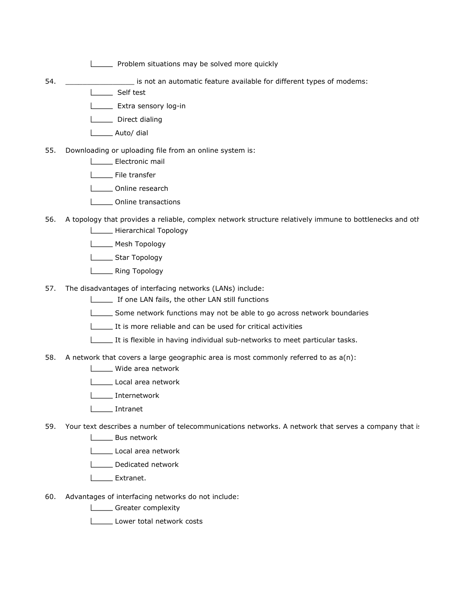**Problem situations may be solved more quickly** 

- 54. **Example 31. Example 34.** Example 15 is not an automatic feature available for different types of modems:
	- Self test
		- **Extra sensory log-in**
		- **Litter** Direct dialing
		- L<sub>\_\_\_</sub>\_\_\_\_\_ Auto/ dial
- 55. Downloading or uploading file from an online system is:
	- Electronic mail
	- File transfer
	- Online research
	- **Conline transactions**
- 56. A topology that provides a reliable, complex network structure relatively immune to bottlenecks and oth **LETTE** Hierarchical Topology
	- Mesh Topology
	- **Lichna** Star Topology
	- **Lasting Topology**
- 57. The disadvantages of interfacing networks (LANs) include:
	- If one LAN fails, the other LAN still functions
	- Some network functions may not be able to go across network boundaries
	- It is more reliable and can be used for critical activities
	- It is flexible in having individual sub-networks to meet particular tasks.
- 58. A network that covers a large geographic area is most commonly referred to as  $a(n)$ :
	- **LECTE** Wide area network
	- Local area network
	- Internetwork
	- Intranet
- 59. Your text describes a number of telecommunications networks. A network that serves a company that is
	- **Looper Bus network**
	- Local area network
	- Dedicated network
	- L<sub>Extranet.</sub>
- 60. Advantages of interfacing networks do not include:
	- Greater complexity
	- Lower total network costs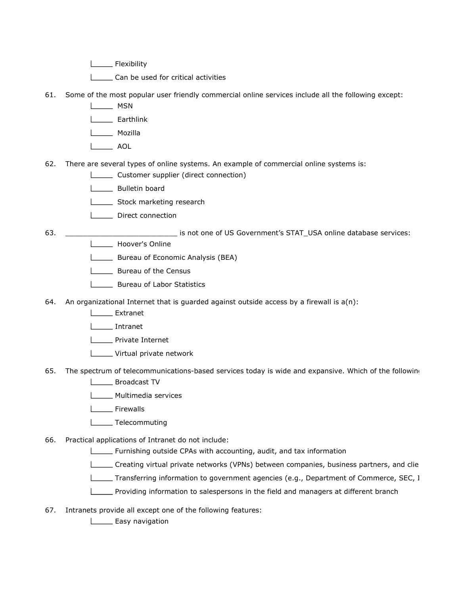**Later Elexibility** 

L\_\_\_\_\_\_ Can be used for critical activities

- 61. Some of the most popular user friendly commercial online services include all the following except:
	- L<sub>MSN</sub>
	- **Larthlink**
	- **Mozilla**
	- Land AOL
- 62. There are several types of online systems. An example of commercial online systems is:
	- **LETT** Customer supplier (direct connection)
	- L\_\_\_\_\_\_ Bulletin board
	- Stock marketing research
	- **Direct connection**

- 63. **Example 20 and 20 and 3 and 5 and 5 and 5 and 5 and 5 and 5 and 5 and 5 and 5 and 5 and 5 and 5 and 6 and 5 and 6 and 6 and 6 and 6 and 6 and 6 and 6 and 6 and 6 and 6 and 6 and 6 and 6 and 6 and 6 and 6 and 6 and 6 a** 
	- **Hoover's Online** 
		- **LETTE:** Bureau of Economic Analysis (BEA)
		- **LECT** Bureau of the Census
		- **Bureau of Labor Statistics**
- 64. An organizational Internet that is guarded against outside access by a firewall is  $a(n)$ :
	- **Lacker Extranet**
	- Intranet
	- L<sub>\_\_\_\_</sub>Private Internet
	- **LECT** Virtual private network
- 65. The spectrum of telecommunications-based services today is wide and expansive. Which of the following
	- **L\_\_\_\_\_** Broadcast TV
	- **Multimedia services**
	- **Lase Elimenalls**
	- **Telecommuting**
- 66. Practical applications of Intranet do not include:
	- **Furnishing outside CPAs with accounting, audit, and tax information**
	- Creating virtual private networks (VPNs) between companies, business partners, and clie
	- $\Box$ Transferring information to government agencies (e.g., Department of Commerce, SEC, 1
	- $\overline{\phantom{a}}$ Providing information to salespersons in the field and managers at different branch
- 67. Intranets provide all except one of the following features:

**L** Easy navigation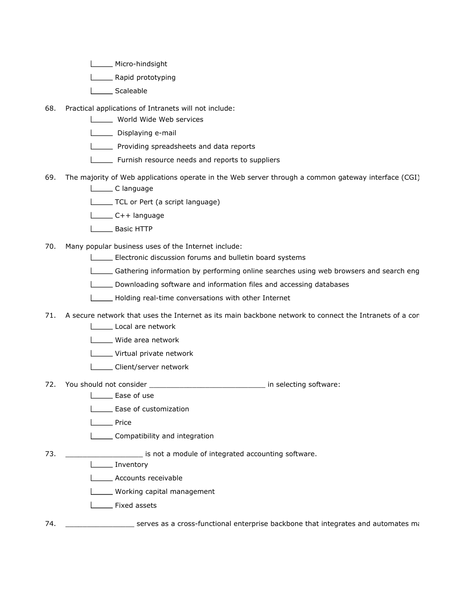- Micro-hindsight
- **Example 1** Rapid prototyping
- L<sub>Scaleable</sub>
- 68. Practical applications of Intranets will not include:
	- **LETTE** World Wide Web services
	- Displaying e-mail
	- **LETT** Providing spreadsheets and data reports
	- **Furnish resource needs and reports to suppliers**
- 69. The majority of Web applications operate in the Web server through a common gateway interface (CGI) L\_\_\_\_\_\_\_ C language
	- TCL or Pert (a script language)
	- C++ language
	- Basic HTTP
- 70. Many popular business uses of the Internet include:
	- Electronic discussion forums and bulletin board systems
	- Gathering information by performing online searches using web browsers and search eng
	- Downloading software and information files and accessing databases
	- Holding real-time conversations with other Internet
- 71. A secure network that uses the Internet as its main backbone network to connect the Intranets of a com
	- Local are network
	- L\_\_\_\_ Wide area network
	- **LECT** Virtual private network
	- **LETT** Client/server network
- 72. You should not consider \_\_\_\_\_\_\_\_\_\_\_\_\_\_\_\_\_\_\_\_\_\_\_\_\_\_\_\_\_\_\_\_\_ in selecting software:
	- **Lase of use**
	- **Ease of customization**
	- **Looper** Price
	- **Latting-Compatibility and integration**

73. \_\_\_\_\_\_\_\_\_\_\_\_\_\_\_\_\_\_\_\_\_\_\_\_ is not a module of integrated accounting software.

- **Inventory** 
	- **LECOUNTED** Accounts receivable
	- **LECT** Working capital management
	- **L\_\_\_\_** Fixed assets
- 74. \_\_\_\_\_\_\_\_\_\_\_\_\_\_\_\_\_\_\_\_\_\_ serves as a cross-functional enterprise backbone that integrates and automates ma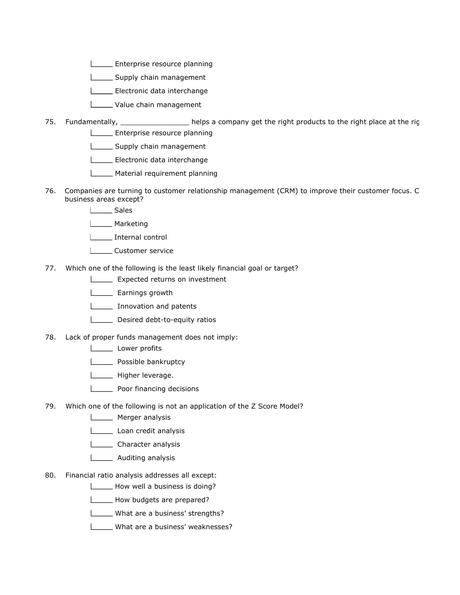- **Enterprise resource planning**
- Supply chain management
- Electronic data interchange
- **Lackson** Value chain management
- 75. Fundamentally, \_\_\_\_\_\_\_\_\_\_\_\_\_\_\_\_\_\_ helps a company get the right products to the right place at the rig **LECTE** Enterprise resource planning
	- Supply chain management
	- Electronic data interchange
	- Material requirement planning
- 76. Companies are turning to customer relationship management (CRM) to improve their customer focus. C business areas except?
	- L<sub>Sales</sub>
	- **L\_\_\_\_\_\_** Marketing
	- | Internal control
	- L**L**Customer service
- 77. Which one of the following is the least likely financial goal or target?
	- **Expected returns on investment**
	- L\_\_\_\_\_\_ Earnings growth
	- **Innovation and patents**
	- Desired debt-to-equity ratios
- 78. Lack of proper funds management does not imply:
	- Lower profits
	- **Lastima** Possible bankruptcy
	- **Ligher leverage.**
	- **Latter Coordinancing decisions**
- 79. Which one of the following is not an application of the Z Score Model?
	- **Merger analysis**
	- Loan credit analysis
	- **Lacker analysis**
	- **Lackson** Auditing analysis
- 80. Financial ratio analysis addresses all except:
	- How well a business is doing?
	- How budgets are prepared?
	- **Number** What are a business' strengths?
	- What are a business' weaknesses?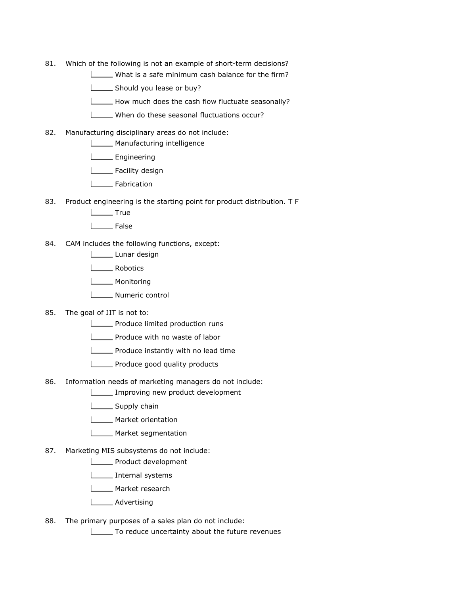- 81. Which of the following is not an example of short-term decisions?
	- What is a safe minimum cash balance for the firm?
	- Should you lease or buy?
	- How much does the cash flow fluctuate seasonally?
	- When do these seasonal fluctuations occur?
- 82. Manufacturing disciplinary areas do not include:
	- **Manufacturing intelligence**
	- **Looper Engineering**
	- L<sub>L</sub> Facility design
	- **Labrication**
- 83. Product engineering is the starting point for product distribution. T F
	- L<sub>L</sub>\_\_\_\_\_\_ True
	- I<sub>\_\_\_</sub>False
- 84. CAM includes the following functions, except:
	- Lunar design
	- Lobotics
	- L**L**Monitoring
	- **Numeric control**
- 85. The goal of JIT is not to:
	- **Produce limited production runs**
	- **LECTE** Produce with no waste of labor
	- **Produce instantly with no lead time**
	- **LECT** Produce good quality products
- 86. Information needs of marketing managers do not include:
	- Improving new product development
	- Supply chain
	- **Market orientation**
	- **L\_\_\_\_\_\_** Market segmentation
- 87. Marketing MIS subsystems do not include:
	- **LETTE** Product development
	- **Internal systems**
	- L\_\_\_\_\_ Market research
	- **Lacker Advertising**
- 88. The primary purposes of a sales plan do not include:
	- To reduce uncertainty about the future revenues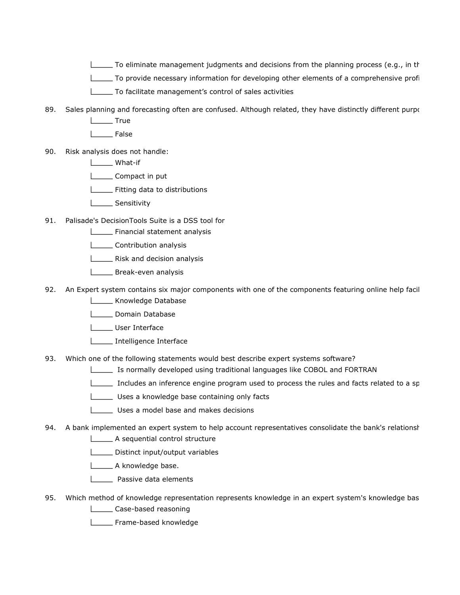- $\Box$  To eliminate management judgments and decisions from the planning process (e.g., in the
- To provide necessary information for developing other elements of a comprehensive profition and  $p$
- To facilitate management's control of sales activities
- 89. Sales planning and forecasting often are confused. Although related, they have distinctly different purpos
	- **Lacks** True
	- False
- 90. Risk analysis does not handle:
	- What-if
	- **Compact in put**
	- **LETTE:** Fitting data to distributions
	- **Looper** Sensitivity
- 91. Palisade's DecisionTools Suite is a DSS tool for
	- Financial statement analysis
	- **Contribution analysis**
	- **LETTE:** Risk and decision analysis
	- **LETTE** Break-even analysis
- 92. An Expert system contains six major components with one of the components featuring online help facil **Lackson** Knowledge Database
	- **Lomain Database**
	- User Interface
	- **Intelligence Interface**
- 93. Which one of the following statements would best describe expert systems software?
	- Is normally developed using traditional languages like COBOL and FORTRAN
	- Includes an inference engine program used to process the rules and facts related to a sp
	- Uses a knowledge base containing only facts
	- Uses a model base and makes decisions
- 94. A bank implemented an expert system to help account representatives consolidate the bank's relationshipsed
	- A sequential control structure
	- **LETTE** Distinct input/output variables
	- **Listing** A knowledge base.
	- **Letter** Passive data elements
- 95. Which method of knowledge representation represents knowledge in an expert system's knowledge base
	- **Letter** Case-based reasoning
	- Frame-based knowledge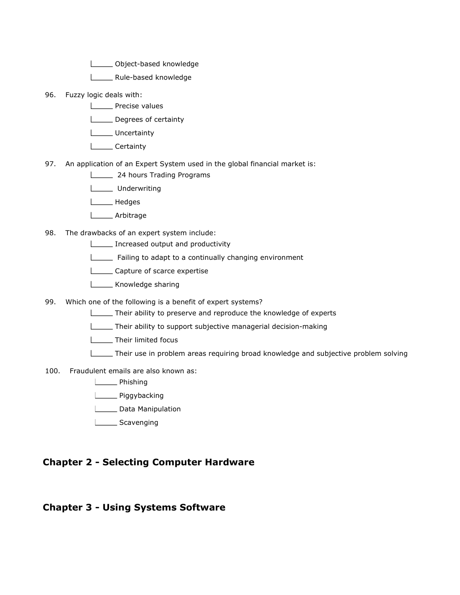**Lackson** Object-based knowledge

- L\_\_\_\_\_ Rule-based knowledge
- 96. Fuzzy logic deals with:
	- **LETTE** Precise values
	- Degrees of certainty
	- L**L**Uncertainty
	- L**Certainty**
- 97. An application of an Expert System used in the global financial market is:
	- **LETTE:** 24 hours Trading Programs
	- L<sub>\_\_\_\_\_</sub> Underwriting
	- Loom Hedges
	- Larbitrage
- 98. The drawbacks of an expert system include:
	- **Increased output and productivity**
	- **LETT** Failing to adapt to a continually changing environment
	- **LECALLET** Capture of scarce expertise
	- **Lackson** Knowledge sharing
- 99. Which one of the following is a benefit of expert systems?
	- Their ability to preserve and reproduce the knowledge of experts
	- **Their ability to support subjective managerial decision-making**
	- Their limited focus
	- Their use in problem areas requiring broad knowledge and subjective problem solving
- 100. Fraudulent emails are also known as:
	- **Lackson** Phishing
	- Lissen Piggybacking
	- Data Manipulation
	- Scavenging

#### Chapter 2 - Selecting Computer Hardware

#### Chapter 3 - Using Systems Software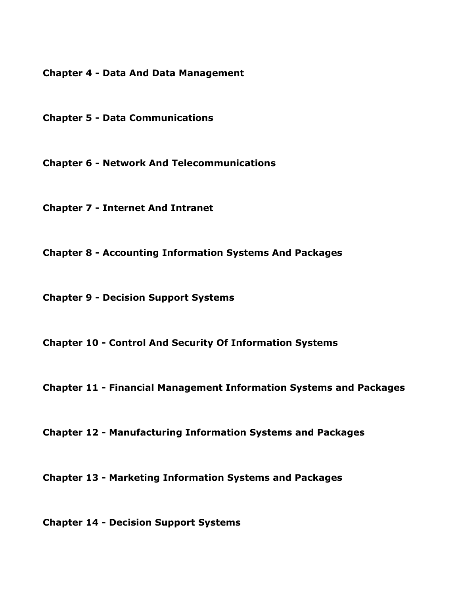Chapter 4 - Data And Data Management

Chapter 5 - Data Communications

Chapter 6 - Network And Telecommunications

Chapter 7 - Internet And Intranet

Chapter 8 - Accounting Information Systems And Packages

Chapter 9 - Decision Support Systems

Chapter 10 - Control And Security Of Information Systems

Chapter 11 - Financial Management Information Systems and Packages

Chapter 12 - Manufacturing Information Systems and Packages

Chapter 13 - Marketing Information Systems and Packages

Chapter 14 - Decision Support Systems